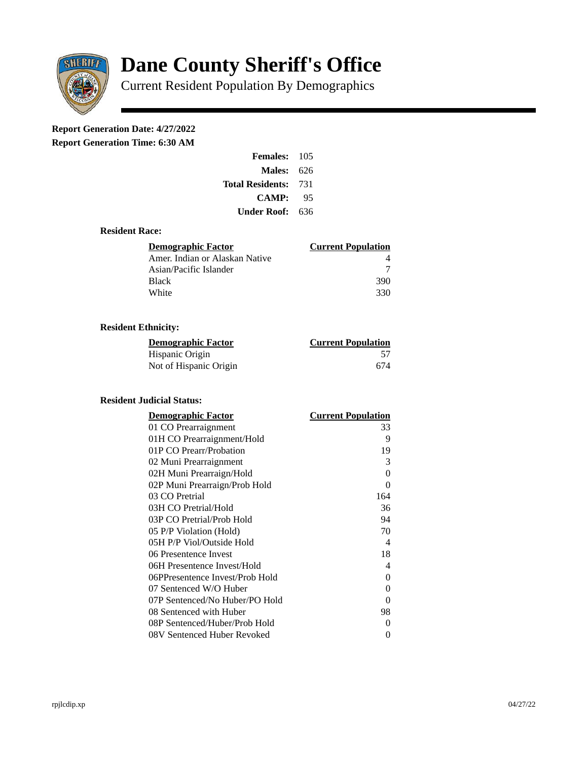

# **Dane County Sheriff's Office**

Current Resident Population By Demographics

# **Report Generation Date: 4/27/2022**

**Report Generation Time: 6:30 AM** 

| Females:                | 105   |
|-------------------------|-------|
| Males:                  | 626   |
| <b>Total Residents:</b> | - 731 |
| <b>CAMP:</b>            | 95    |
| Under Roof:             | 636   |

### **Resident Race:**

| Demographic Factor             | <b>Current Population</b> |
|--------------------------------|---------------------------|
| Amer. Indian or Alaskan Native |                           |
| Asian/Pacific Islander         |                           |
| Black                          | 390                       |
| White                          | 330                       |

# **Resident Ethnicity:**

| <u> Demographic Factor</u> | <b>Current Population</b> |
|----------------------------|---------------------------|
| Hispanic Origin            | 57                        |
| Not of Hispanic Origin     | 674                       |

#### **Resident Judicial Status:**

| <b>Demographic Factor</b>       | <b>Current Population</b>  |
|---------------------------------|----------------------------|
| 01 CO Prearraignment            | 33                         |
| 01H CO Prearraignment/Hold      | 9                          |
| 01P CO Prearr/Probation         | 19                         |
| 02 Muni Prearraignment          | 3                          |
| 02H Muni Prearraign/Hold        | 0                          |
| 02P Muni Prearraign/Prob Hold   | 0                          |
| 03 CO Pretrial                  | 164                        |
| 03H CO Pretrial/Hold            | 36                         |
| 03P CO Pretrial/Prob Hold       | 94                         |
| 05 P/P Violation (Hold)         | 70                         |
| 05H P/P Viol/Outside Hold       | $\boldsymbol{\mathcal{A}}$ |
| 06 Presentence Invest           | 18                         |
| 06H Presentence Invest/Hold     | 4                          |
| 06PPresentence Invest/Prob Hold | 0                          |
| 07 Sentenced W/O Huber          | 0                          |
| 07P Sentenced/No Huber/PO Hold  | 0                          |
| 08 Sentenced with Huber         | 98                         |
| 08P Sentenced/Huber/Prob Hold   | 0                          |
| 08V Sentenced Huber Revoked     | 0                          |